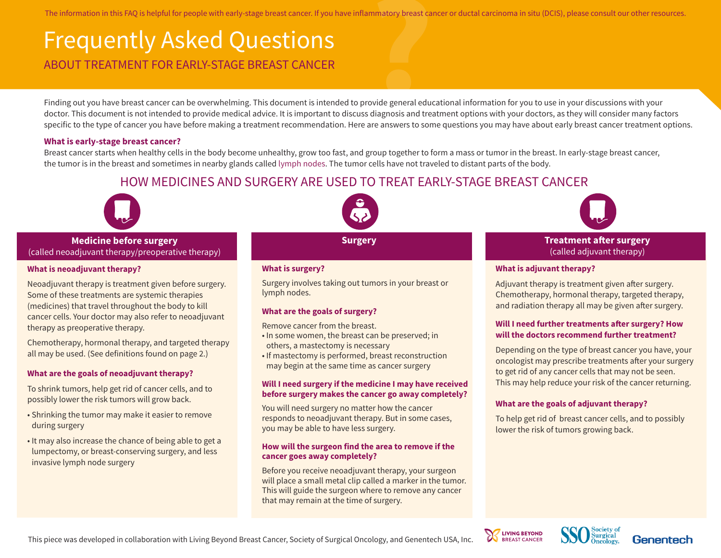The information in this FAQ is helpful for people with early-stage breast cancer. If you have inflammatory breast cancer or ductal carcinoma in situ (DCIS), please consult our other resources.

# Frequently Asked Questions The information in this FAQ is helpful for people with early-stage breast cancer. If you have inflammatory breast cancer<br>
FICCULENTLY ASKEO QUESTIONS<br>
ABOUT TREATMENT FOR EARLY-STAGE BREAST CANCER<br>
Finding out you have bre

Finding out you have breast cancer can be overwhelming. This document is intended to provide general educational information for you to use in your discussions with your doctor. This document is not intended to provide medical advice. It is important to discuss diagnosis and treatment options with your doctors, as they will consider many factors specific to the type of cancer you have before making a treatment recommendation. Here are answers to some questions you may have about early breast cancer treatment options.

#### **What is early-stage breast cancer?**

Breast cancer starts when healthy cells in the body become unhealthy, grow too fast, and group together to form a mass or tumor in the breast. In early-stage breast cancer, the tumor is in the breast and sometimes in nearby glands called lymph nodes. The tumor cells have not traveled to distant parts of the body.

## HOW MEDICINES AND SURGERY ARE USED TO TREAT EARLY-STAGE BREAST CANCER



**Medicine before surgery**  (called neoadjuvant therapy/preoperative therapy)

#### **What is neoadjuvant therapy?**

Neoadjuvant therapy is treatment given before surgery. Some of these treatments are systemic therapies (medicines) that travel throughout the body to kill cancer cells. Your doctor may also refer to neoadjuvant therapy as preoperative therapy.

Chemotherapy, hormonal therapy, and targeted therapy all may be used. (See definitions found on page 2.)

#### **What are the goals of neoadjuvant therapy?**

To shrink tumors, help get rid of cancer cells, and to possibly lower the risk tumors will grow back.

- Shrinking the tumor may make it easier to remove during surgery
- It may also increase the chance of being able to get a lumpectomy, or breast-conserving surgery, and less invasive lymph node surgery



#### **What is surgery?**

Surgery involves taking out tumors in your breast or lymph nodes.

#### **What are the goals of surgery?**

Remove cancer from the breast.

- In some women, the breast can be preserved; in others, a mastectomy is necessary
- If mastectomy is performed, breast reconstruction may begin at the same time as cancer surgery

#### **Will I need surgery if the medicine I may have received before surgery makes the cancer go away completely?**

You will need surgery no matter how the cancer responds to neoadjuvant therapy. But in some cases, you may be able to have less surgery.

#### **How will the surgeon find the area to remove if the cancer goes away completely?**

Before you receive neoadjuvant therapy, your surgeon will place a small metal clip called a marker in the tumor. This will guide the surgeon where to remove any cancer that may remain at the time of surgery.



**Surgery Treatment after surgery** (called adjuvant therapy)

#### **What is adjuvant therapy?**

Adjuvant therapy is treatment given after surgery. Chemotherapy, hormonal therapy, targeted therapy, and radiation therapy all may be given after surgery.

#### **Will I need further treatments after surgery? How will the doctors recommend further treatment?**

Depending on the type of breast cancer you have, your oncologist may prescribe treatments after your surgery to get rid of any cancer cells that may not be seen. This may help reduce your risk of the cancer returning.

#### **What are the goals of adjuvant therapy?**

To help get rid of breast cancer cells, and to possibly lower the risk of tumors growing back.





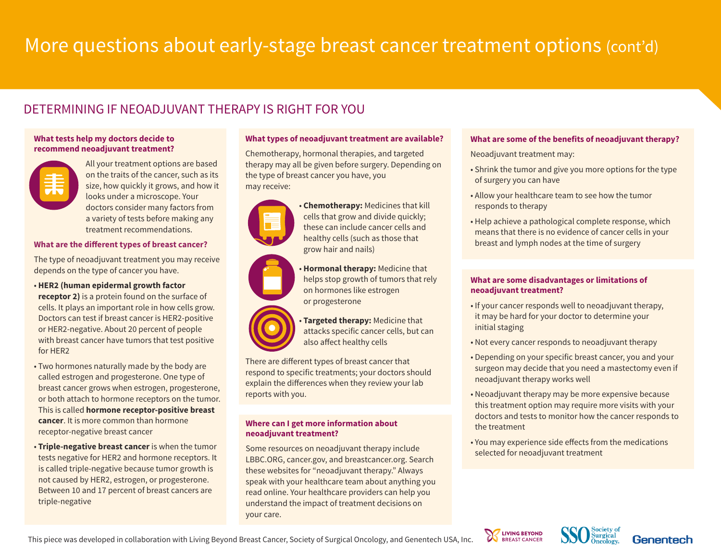# More questions about early-stage breast cancer treatment options (cont'd)

# DETERMINING IF NEOADJUVANT THERAPY IS RIGHT FOR YOU

#### **What tests help my doctors decide to recommend neoadjuvant treatment?**



All your treatment options are based on the traits of the cancer, such as its size, how quickly it grows, and how it looks under a microscope. Your doctors consider many factors from a variety of tests before making any treatment recommendations.

#### **What are the different types of breast cancer?**

The type of neoadjuvant treatment you may receive depends on the type of cancer you have.

- **HER2 (human epidermal growth factor receptor 2)** is a protein found on the surface of cells. It plays an important role in how cells grow. Doctors can test if breast cancer is HER2-positive or HER2-negative. About 20 percent of people with breast cancer have tumors that test positive for HER2
- Two hormones naturally made by the body are called estrogen and progesterone. One type of breast cancer grows when estrogen, progesterone, or both attach to hormone receptors on the tumor. This is called **hormone receptor-positive breast cancer**. It is more common than hormone receptor-negative breast cancer
- **Triple-negative breast cancer** is when the tumor tests negative for HER2 and hormone receptors. It is called triple-negative because tumor growth is not caused by HER2, estrogen, or progesterone. Between 10 and 17 percent of breast cancers are triple-negative

#### **What types of neoadjuvant treatment are available?**

Chemotherapy, hormonal therapies, and targeted therapy may all be given before surgery. Depending on the type of breast cancer you have, you may receive:



 • **Chemotherapy:** Medicines that kill cells that grow and divide quickly; these can include cancer cells and healthy cells (such as those that grow hair and nails)

 • **Hormonal therapy:** Medicine that helps stop growth of tumors that rely on hormones like estrogen or progesterone

 • **Targeted therapy:** Medicine that attacks specific cancer cells, but can also affect healthy cells

There are different types of breast cancer that respond to specific treatments; your doctors should explain the differences when they review your lab reports with you.

#### **Where can I get more information about neoadjuvant treatment?**

Some resources on neoadjuvant therapy include LBBC.ORG, cancer.gov, and breastcancer.org. Search these websites for "neoadjuvant therapy." Always speak with your healthcare team about anything you read online. Your healthcare providers can help you understand the impact of treatment decisions on your care.

#### **What are some of the benefits of neoadjuvant therapy?**

Neoadjuvant treatment may:

- Shrink the tumor and give you more options for the type of surgery you can have
- Allow your healthcare team to see how the tumor responds to therapy
- Help achieve a pathological complete response, which means that there is no evidence of cancer cells in your breast and lymph nodes at the time of surgery

#### **What are some disadvantages or limitations of neoadjuvant treatment?**

- If your cancer responds well to neoadjuvant therapy, it may be hard for your doctor to determine your initial staging
- Not every cancer responds to neoadjuvant therapy
- Depending on your specific breast cancer, you and your surgeon may decide that you need a mastectomy even if neoadjuvant therapy works well
- Neoadjuvant therapy may be more expensive because this treatment option may require more visits with your doctors and tests to monitor how the cancer responds to the treatment
- You may experience side effects from the medications selected for neoadjuvant treatment







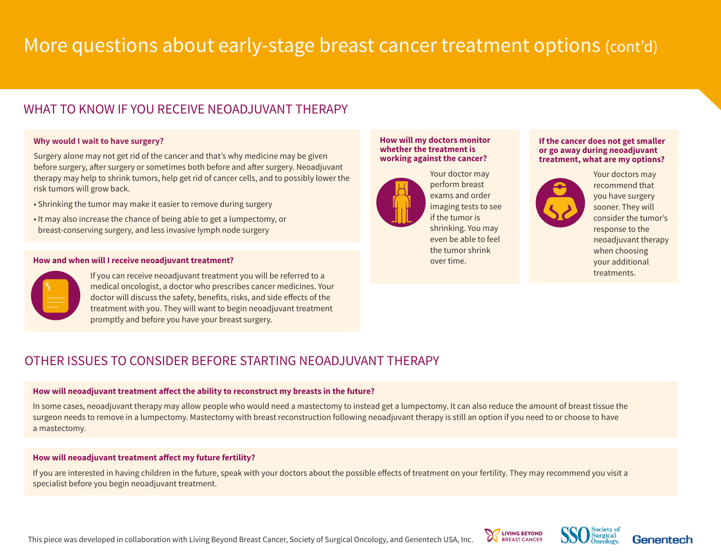# More questions about early-stage breast cancer treatment options (cont'd)

## WHAT TO KNOW IF YOU RECEIVE NEOAD JUVANT THERAPY

#### **Why would I wait to have surgery?**

Surgery alone may not get rid of the cancer and that's why medicine may be given before surgery, after surgery or sometimes both before and after surgery. Neoadjuvant therapy may help to shrink tumors, help get rid of cancer cells, and to possibly lower the risk tumors will grow back.

- Shrinking the tumor may make it easier to remove during surgery
- It may also increase the chance of being able to get a lumpectomy, or breast-conserving surgery, and less invasive lymph node surgery

#### **How and when will I receive neoadjuvant treatment?**



If you can receive neoadjuvant treatment you will be referred to a medical oncologist, a doctor who prescribes cancer medicines. Your doctor will discuss the safety, benefits, risks, and side effects of the treatment with you. They will want to begin neoadjuvant treatment promptly and before you have your breast surgery.

#### **How will my doctors monitor whether the treatment is working against the cancer?**



 Your doctor may perform breast exams and order imaging tests to see if the tumor is shrinking. You may even be able to feel the tumor shrink over time.

#### **If the cancer does not get smaller or go away during neoadjuvant treatment, what are my options?**



 Your doctors may recommend that you have surgery sooner. They will consider the tumor's response to the neoadjuvant therapy when choosing your additional treatments.

## OTHER ISSUES TO CONSIDER BEFORE STARTING NEOAD IUVANT THERAPY

#### **How will neoadjuvant treatment affect the ability to reconstruct my breasts in the future?**

In some cases, neoadjuvant therapy may allow people who would need a mastectomy to instead get a lumpectomy. It can also reduce the amount of breast tissue the surgeon needs to remove in a lumpectomy. Mastectomy with breast reconstruction following neoadjuvant therapy is still an option if you need to or choose to have a mastectomy.

#### **How will neoadjuvant treatment affect my future fertility?**

If you are interested in having children in the future, speak with your doctors about the possible effects of treatment on your fertility. They may recommend you visit a specialist before you begin neoadjuvant treatment.

This piece was developed in collaboration with Living Beyond Breast Cancer, Society of Surgical Oncology, and Genentech USA, Inc.